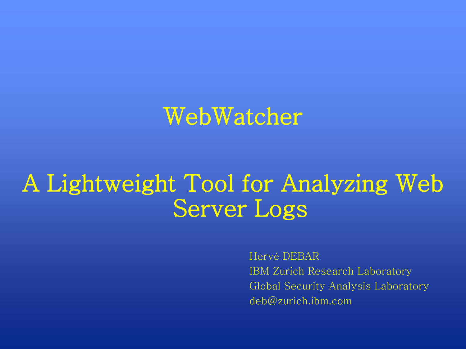### WebWatcher

# A Lightweight Tool for Analyzing Web Server Logs

Hervé DEBAR IBM Zurich Research Laboratory Global Security Analysis Laboratory deb@zurich.ibm.com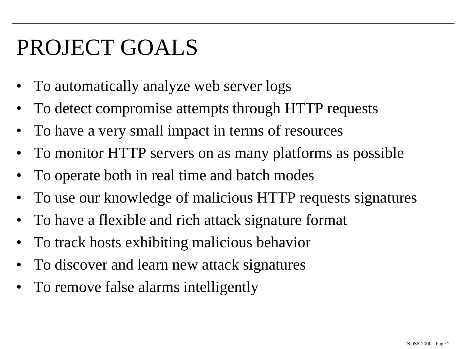# PROJECT GOALS

- To automatically analyze web server logs
- To detect compromise attempts through HTTP requests
- To have a very small impact in terms of resources
- To monitor HTTP servers on as many platforms as possible
- To operate both in real time and batch modes
- To use our knowledge of malicious HTTP requests signatures
- To have a flexible and rich attack signature format
- To track hosts exhibiting malicious behavior
- To discover and learn new attack signatures
- To remove false alarms intelligently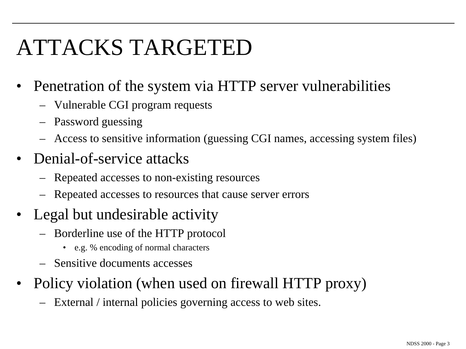# ATTACKS TARGETED

- Penetration of the system via HTTP server vulnerabilities
	- Vulnerable CGI program requests
	- Password guessing
	- Access to sensitive information (guessing CGI names, accessing system files)
- Denial-of-service attacks
	- Repeated accesses to non-existing resources
	- Repeated accesses to resources that cause server errors
- Legal but undesirable activity
	- Borderline use of the HTTP protocol
		- e.g. % encoding of normal characters
	- Sensitive documents accesses
- Policy violation (when used on firewall HTTP proxy)
	- External / internal policies governing access to web sites.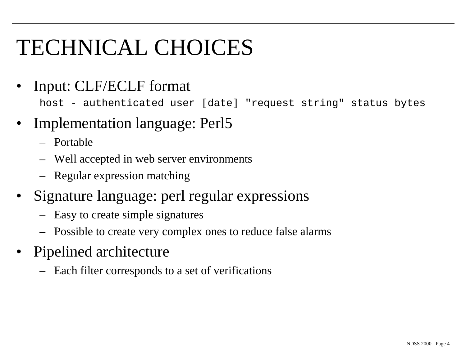# TECHNICAL CHOICES

• Input: CLF/ECLF format

host - authenticated\_user [date] "request string" status bytes

- Implementation language: Perl5
	- Portable
	- Well accepted in web server environments
	- Regular expression matching
- Signature language: perl regular expressions
	- Easy to create simple signatures
	- Possible to create very complex ones to reduce false alarms
- Pipelined architecture
	- Each filter corresponds to a set of verifications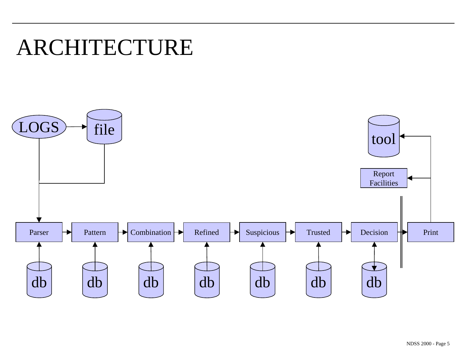### ARCHITECTURE

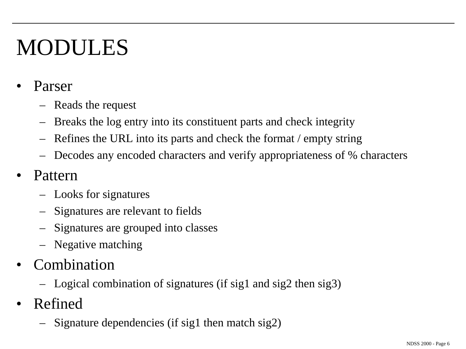# MODULES

- Parser
	- Reads the request
	- Breaks the log entry into its constituent parts and check integrity
	- Refines the URL into its parts and check the format / empty string
	- Decodes any encoded characters and verify appropriateness of % characters
- Pattern
	- Looks for signatures
	- Signatures are relevant to fields
	- Signatures are grouped into classes
	- Negative matching
- **Combination** 
	- Logical combination of signatures (if sig1 and sig2 then sig3)
- Refined
	- Signature dependencies (if sig1 then match sig2)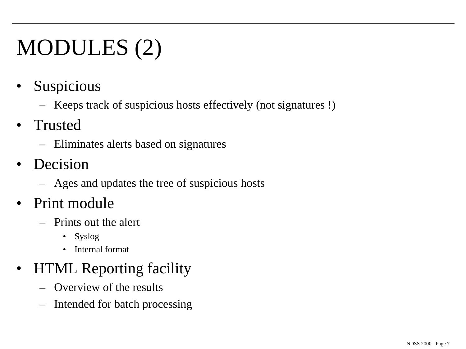# MODULES (2)

- **Suspicious** 
	- Keeps track of suspicious hosts effectively (not signatures !)
- Trusted
	- Eliminates alerts based on signatures
- **Decision** 
	- Ages and updates the tree of suspicious hosts
- Print module
	- Prints out the alert
		- Syslog
		- Internal format

#### • HTML Reporting facility

- Overview of the results
- Intended for batch processing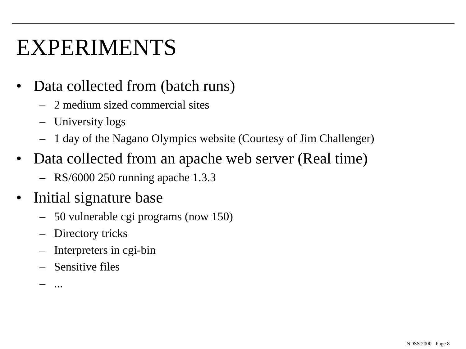### EXPERIMENTS

- Data collected from (batch runs)
	- 2 medium sized commercial sites
	- University logs
	- 1 day of the Nagano Olympics website (Courtesy of Jim Challenger)
- Data collected from an apache web server (Real time)
	- RS/6000 250 running apache 1.3.3
- Initial signature base
	- 50 vulnerable cgi programs (now 150)
	- Directory tricks
	- Interpreters in cgi-bin
	- Sensitive files

– ...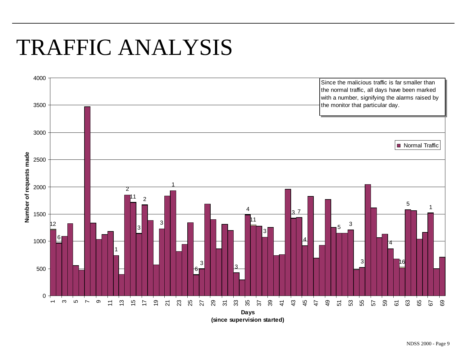## TRAFFIC ANALYSIS

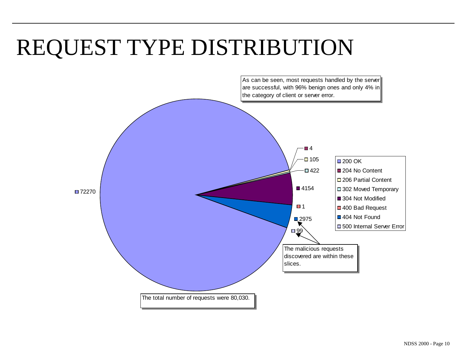# REQUEST TYPE DISTRIBUTION

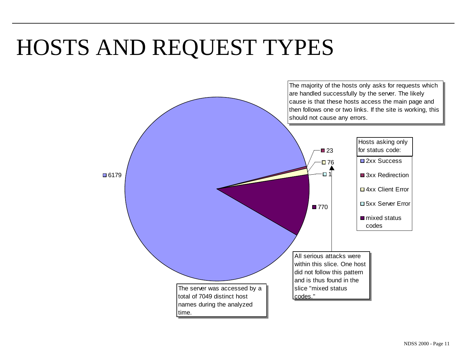# HOSTS AND REQUEST TYPES

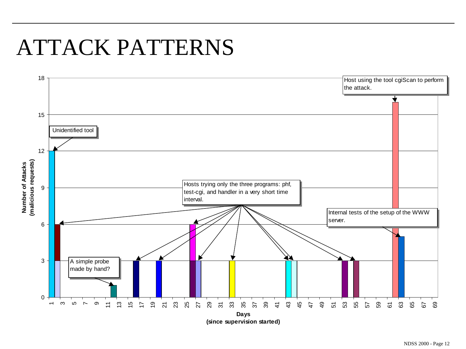## ATTACK PATTERNS

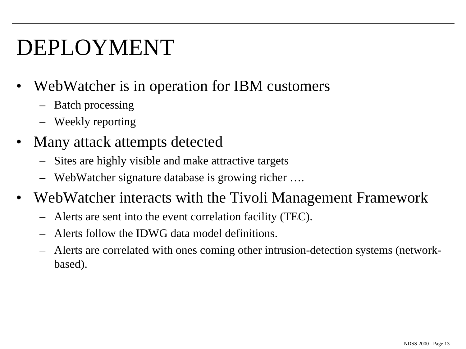# DEPLOYMENT

- WebWatcher is in operation for IBM customers
	- Batch processing
	- Weekly reporting
- Many attack attempts detected
	- Sites are highly visible and make attractive targets
	- WebWatcher signature database is growing richer ….
- WebWatcher interacts with the Tivoli Management Framework
	- Alerts are sent into the event correlation facility (TEC).
	- Alerts follow the IDWG data model definitions.
	- Alerts are correlated with ones coming other intrusion-detection systems (networkbased).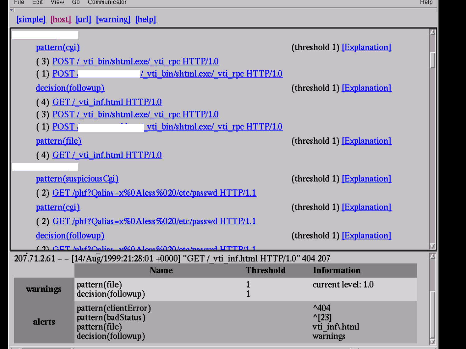$\overline{\mathbf{v}}$ 

 $\overline{2}$ 

А

ndss 2000 - Page 14

M

| [simple] [host] [url] [warning] [help] |  |  |  |  |  |
|----------------------------------------|--|--|--|--|--|
|----------------------------------------|--|--|--|--|--|

| pattern(cgi)                      |                                                                                   |                                                                                    |                     | (threshold 1) [Explanation]                                     |  |  |
|-----------------------------------|-----------------------------------------------------------------------------------|------------------------------------------------------------------------------------|---------------------|-----------------------------------------------------------------|--|--|
|                                   | (3) POST / vti bin/shtml.exe/ vti rpc HTTP/1.0                                    |                                                                                    |                     |                                                                 |  |  |
| $(1)$ POST                        |                                                                                   | / vti bin/shtml.exe/ vti rpc HTTP/1.0                                              |                     |                                                                 |  |  |
| decision(followup)                |                                                                                   |                                                                                    |                     | (threshold 1) [Explanation]                                     |  |  |
| $(4)$ GET / vti inf.html HTTP/1.0 |                                                                                   |                                                                                    |                     |                                                                 |  |  |
|                                   | (3) POST / vti bin/shtml.exe/ vti rpc HTTP/1.0                                    |                                                                                    |                     |                                                                 |  |  |
| $(1)$ POST                        |                                                                                   | vti bin/shtml.exe/ vti rpc HTTP/1.0                                                |                     |                                                                 |  |  |
| pattern(file)                     |                                                                                   |                                                                                    |                     | (threshold 1) [Explanation]                                     |  |  |
|                                   | $(4)$ GET / vti inf.html HTTP/1.0                                                 |                                                                                    |                     |                                                                 |  |  |
|                                   |                                                                                   |                                                                                    |                     |                                                                 |  |  |
|                                   | pattern(suspicious Cgi)                                                           |                                                                                    |                     | (threshold 1) [Explanation]                                     |  |  |
|                                   |                                                                                   | (2) GET/phf?Qalias=x%0Aless%020/etc/passwd HTTP/1.1                                |                     |                                                                 |  |  |
| pattern(cgi)                      |                                                                                   |                                                                                    |                     | (threshold 1) [Explanation]                                     |  |  |
|                                   |                                                                                   | (2) GET/phf?Qalias=x%0Aless%020/etc/passwd HTTP/1.1                                |                     |                                                                 |  |  |
| decision(followup)                |                                                                                   |                                                                                    |                     | (threshold 1) [Explanation]                                     |  |  |
|                                   |                                                                                   | (2) CET bible with a love CO20 bto because UTTD/1 1                                |                     |                                                                 |  |  |
|                                   |                                                                                   | 207.71.2.61 - - [14/Aug/1999:21:28:01 +0000] "GET / vti_inf.html HTTP/1.0" 404 207 |                     |                                                                 |  |  |
|                                   |                                                                                   | <b>Name</b>                                                                        | <b>Threshold</b>    | <b>Information</b>                                              |  |  |
| warnings                          | pattern(file)<br>decision(followup)                                               |                                                                                    | 1<br>$\overline{1}$ | current level: 1.0                                              |  |  |
| alerts                            | pattern(clientError)<br>pattern(badStatus)<br>pattern(file)<br>decision(followup) |                                                                                    |                     | $^{\wedge}404$<br>$^{\wedge}$ [23]<br>vti inf\.html<br>warnings |  |  |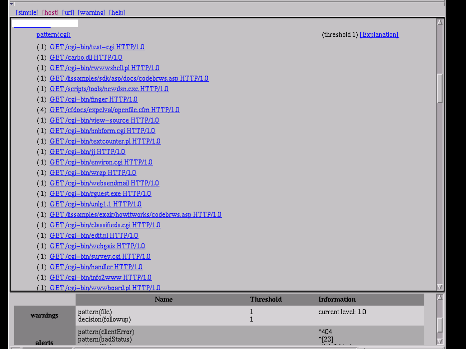[simple] [host] [url] [warning] [help]

 $\overline{\nabla|}$ 

| pattern(cgi) |                                                           |                  | (threshold 1) [Explanation]       |  |  |  |
|--------------|-----------------------------------------------------------|------------------|-----------------------------------|--|--|--|
|              | (1) GET/cgi-bin/test-cgi HTTP/1.0                         |                  |                                   |  |  |  |
|              | (1) GET/carbo.dll HTTP/1.0                                |                  |                                   |  |  |  |
|              | (1) GET/cgi-bin/rwwwshell.pl HTTP/1.0                     |                  |                                   |  |  |  |
|              | (1) GET /iissamples/sdk/asp/docs/codebrws.asp HTTP/1.0    |                  |                                   |  |  |  |
|              | (1) GET/scripts/tools/newdsn.exe HTTP/1.0                 |                  |                                   |  |  |  |
|              | (1) GET/cgi-bin/finger HTTP/1.0                           |                  |                                   |  |  |  |
|              | (4) GET/cfdocs/expelval/openfile.cfm HTTP/1.0             |                  |                                   |  |  |  |
|              | (1) GET/cgi-bin/view-source HTTP/1.0                      |                  |                                   |  |  |  |
|              | (1) GET/cgi-bin/bnbform.cgi HTTP/1.0                      |                  |                                   |  |  |  |
|              | (1) GET/cgi-bin/textcounter.pl HTTP/1.0                   |                  |                                   |  |  |  |
|              | (1) GET/cgi-bin/jj HTTP/1.0                               |                  |                                   |  |  |  |
|              | (1) GET/cgi-bin/environ.cgi HTTP/1.0                      |                  |                                   |  |  |  |
|              | (1) GET/cgi-bin/wrap HTTP/1.0                             |                  |                                   |  |  |  |
|              | (1) GET/cgi-bin/websendmail HTTP/1.0                      |                  |                                   |  |  |  |
|              | (1) GET/cgi-bin/rguest.exe HTTP/1.0                       |                  |                                   |  |  |  |
|              | (1) GET/cgi-bin/unlg1.1 HTTP/1.0                          |                  |                                   |  |  |  |
|              | (1) GET/iissamples/exair/howitworks/codebrws.asp HTTP/1.0 |                  |                                   |  |  |  |
|              | (1) GET/cgi-bin/classifieds.cgi HTTP/1.0                  |                  |                                   |  |  |  |
|              | (1) GET/cgi-bin/edit.pl HTTP/1.0                          |                  |                                   |  |  |  |
|              | (1) GET/cgi-bin/webgais HTTP/1.0                          |                  |                                   |  |  |  |
|              | (1) GET/cgi-bin/survey.cgi HTTP/1.0                       |                  |                                   |  |  |  |
|              | (1) GET/cgi-bin/handler HTTP/1.0                          |                  |                                   |  |  |  |
|              | (1) GET/cgi-bin/info2www HTTP/1.0                         |                  |                                   |  |  |  |
|              | (1) GET/cgi-bin/wwwboard.pl HTTP/1.0                      |                  |                                   |  |  |  |
|              | Name                                                      | <b>Threshold</b> | <b>Information</b>                |  |  |  |
| warnings     | pattern(file)<br>decision(followup)                       | 1<br>1           | current level: 1.0                |  |  |  |
| alerts       | pattern(clientError)<br>pattern(badStatus)                |                  | $^{\wedge}404$<br>$^{\circ}$ [23] |  |  |  |

NDSS 2000 - Page 15

Þ